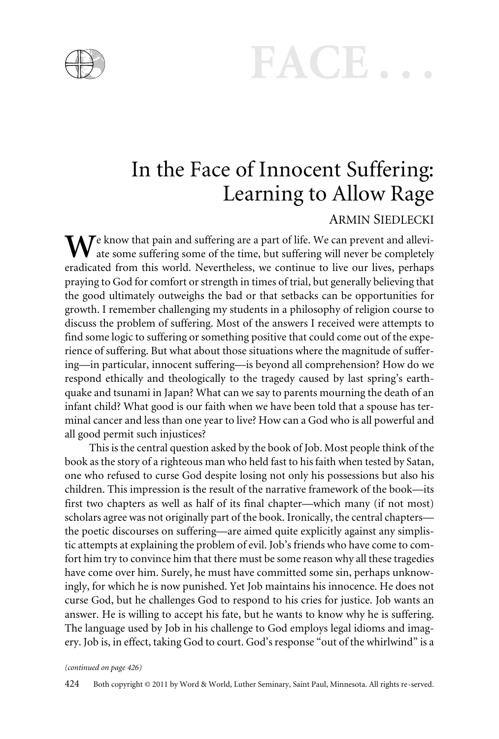



## In the Face of Innocent Suffering: Learning to Allow Rage

#### ARMIN SIEDLECKI

 $\mathbf{W}$ <sup>e</sup> know that pain and suffering are a part of life. We can prevent and alleviate some suffering some of the time, but suffering will never be completely eradicated from this world. Nevertheless, we continue to live our lives, perhaps praying to God for comfort or strength in times of trial, but generally believing that the good ultimately outweighs the bad or that setbacks can be opportunities for growth. I remember challenging my students in a philosophy of religion course to discuss the problem of suffering. Most of the answers I received were attempts to find some logic to suffering or something positive that could come out of the experience of suffering. But what about those situations where the magnitude of suffering—in particular, innocent suffering—is beyond all comprehension? How do we respond ethically and theologically to the tragedy caused by last spring's earthquake and tsunami in Japan? What can we say to parents mourning the death of an infant child? What good is our faith when we have been told that a spouse has terminal cancer and less than one year to live? How can a God who is all powerful and all good permit such injustices?

This is the central question asked by the book of Job. Most people think of the book as the story of a righteous man who held fast to his faith when tested by Satan, one who refused to curse God despite losing not only his possessions but also his children. This impression is the result of the narrative framework of the book—its first two chapters as well as half of its final chapter—which many (if not most) scholars agree was not originally part of the book. Ironically, the central chapters the poetic discourses on suffering—are aimed quite explicitly against any simplistic attempts at explaining the problem of evil. Job's friends who have come to comfort him try to convince him that there must be some reason why all these tragedies have come over him. Surely, he must have committed some sin, perhaps unknowingly, for which he is now punished. Yet Job maintains his innocence. He does not curse God, but he challenges God to respond to his cries for justice. Job wants an answer. He is willing to accept his fate, but he wants to know why he is suffering. The language used by Job in his challenge to God employs legal idioms and imagery. Job is, in effect, taking God to court. God's response "out of the whirlwind" is a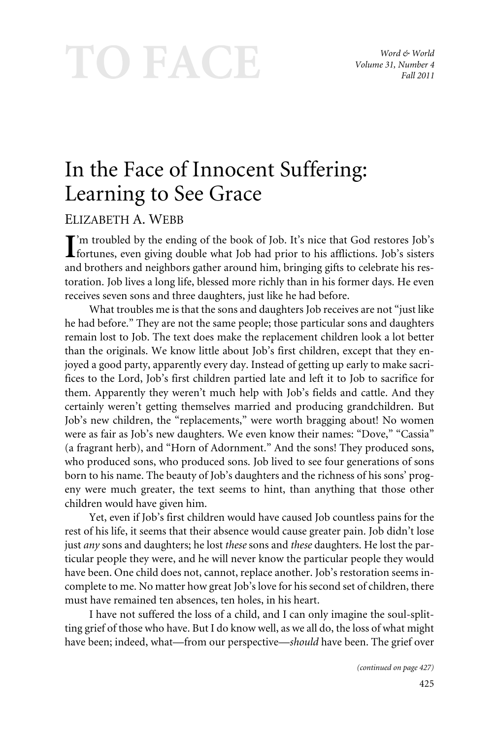# TO FACE

*Word & World Volume 31, Number 4 Fall 2011*

## In the Face of Innocent Suffering: Learning to See Grace

### ELIZABETH A. WEBB

I'm troubled by the ending of the book of Job. It's nice that God restores Job's<br>fortunes, even giving double what Job had prior to his afflictions. Job's sisters fortunes, even giving double what Job had prior to his afflictions. Job's sisters and brothers and neighbors gather around him, bringing gifts to celebrate his restoration. Job lives a long life, blessed more richly than in his former days. He even receives seven sons and three daughters, just like he had before.

What troubles me is that the sons and daughters Job receives are not "just like he had before." They are not the same people; those particular sons and daughters remain lost to Job. The text does make the replacement children look a lot better than the originals. We know little about Job's first children, except that they enjoyed a good party, apparently every day. Instead of getting up early to make sacrifices to the Lord, Job's first children partied late and left it to Job to sacrifice for them. Apparently they weren't much help with Job's fields and cattle. And they certainly weren't getting themselves married and producing grandchildren. But Job's new children, the "replacements," were worth bragging about! No women were as fair as Job's new daughters. We even know their names: "Dove," "Cassia" (a fragrant herb), and "Horn of Adornment." And the sons! They produced sons, who produced sons, who produced sons. Job lived to see four generations of sons born to his name. The beauty of Job's daughters and the richness of his sons' progeny were much greater, the text seems to hint, than anything that those other children would have given him.

Yet, even if Job's first children would have caused Job countless pains for the rest of his life, it seems that their absence would cause greater pain. Job didn't lose just *any* sons and daughters; he lost *these* sons and *these* daughters. He lost the particular people they were, and he will never know the particular people they would have been. One child does not, cannot, replace another. Job's restoration seems incomplete to me. No matter how great Job's love for his second set of children, there must have remained ten absences, ten holes, in his heart.

I have not suffered the loss of a child, and I can only imagine the soul-splitting grief of those who have. But I do know well, as we all do, the loss of what might have been; indeed, what—from our perspective—*should* have been. The grief over

*(continued on page 427)*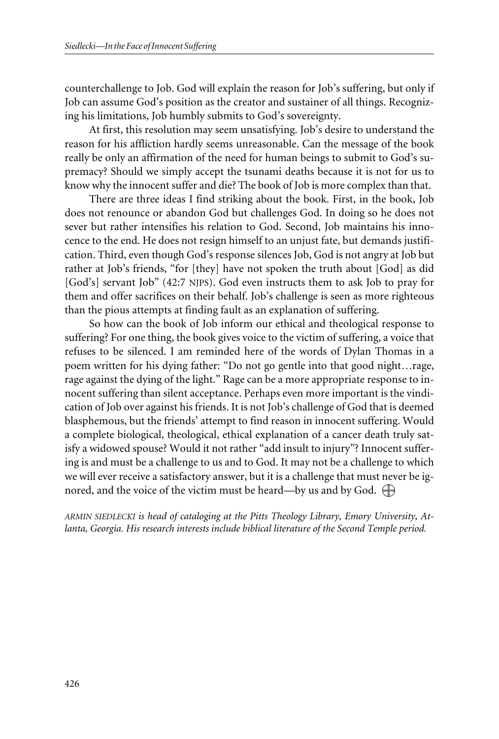counterchallenge to Job. God will explain the reason for Job's suffering, but only if Job can assume God's position as the creator and sustainer of all things. Recognizing his limitations, Job humbly submits to God's sovereignty.

At first, this resolution may seem unsatisfying. Job's desire to understand the reason for his affliction hardly seems unreasonable. Can the message of the book really be only an affirmation of the need for human beings to submit to God's supremacy? Should we simply accept the tsunami deaths because it is not for us to know why the innocent suffer and die? The book of Job is more complex than that.

There are three ideas I find striking about the book. First, in the book, Job does not renounce or abandon God but challenges God. In doing so he does not sever but rather intensifies his relation to God. Second, Job maintains his innocence to the end. He does not resign himself to an unjust fate, but demands justification. Third, even though God's response silences Job, God is not angry at Job but rather at Job's friends, "for [they] have not spoken the truth about [God] as did [God's] servant Job" (42:7 NJPS). God even instructs them to ask Job to pray for them and offer sacrifices on their behalf. Job's challenge is seen as more righteous than the pious attempts at finding fault as an explanation of suffering.

So how can the book of Job inform our ethical and theological response to suffering? For one thing, the book gives voice to the victim of suffering, a voice that refuses to be silenced. I am reminded here of the words of Dylan Thomas in a poem written for his dying father: "Do not go gentle into that good night…rage, rage against the dying of the light." Rage can be a more appropriate response to innocent suffering than silent acceptance. Perhaps even more important is the vindication of Job over against his friends. It is not Job's challenge of God that is deemed blasphemous, but the friends' attempt to find reason in innocent suffering. Would a complete biological, theological, ethical explanation of a cancer death truly satisfy a widowed spouse? Would it not rather "add insult to injury"? Innocent suffering is and must be a challenge to us and to God. It may not be a challenge to which we will ever receive a satisfactory answer, but it is a challenge that must never be ignored, and the voice of the victim must be heard—by us and by God.  $\bigoplus$ 

*ARMIN SIEDLECKI is head of cataloging at the Pitts Theology Library, Emory University, Atlanta, Georgia. His research interests include biblical literature of the Second Temple period.*